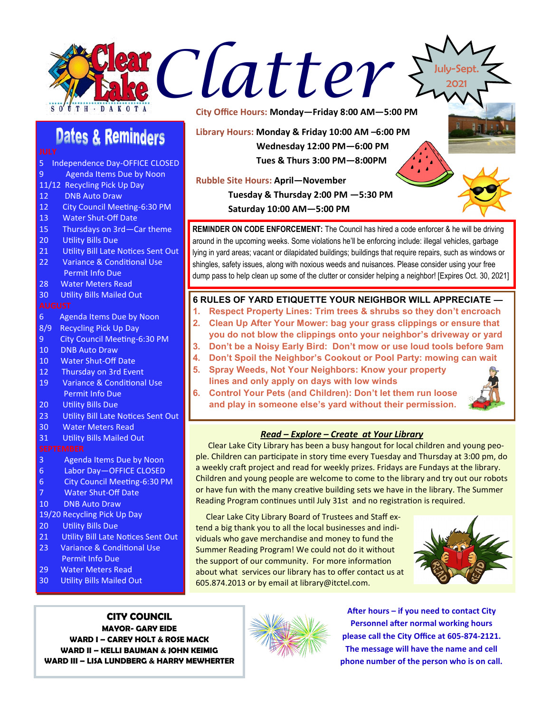



- 5 Independence Day-OFFICE CLOSED
- 9 Agenda Items Due by Noon
- 11/12 Recycling Pick Up Day
- 12 DNB Auto Draw
- 12 City Council Meeting-6:30 PM<br>13 Water Shut-Off Date
- Water Shut-Off Date
- 15 Thursdays on 3rd—Car theme
- 20 Utility Bills Due
- 21 Utility Bill Late Notices Sent Out<br>22 Variance & Conditional Use
- Variance & Conditional Use
- Permit Info Due
- 28 Water Meters Read
- 30 Utility Bills Mailed Out

- 6 Agenda Items Due by Noon
- 8/9 Recycling Pick Up Day
- 9 City Council Meeting-6:30 PM
- 10 DNB Auto Draw
- 10 Water Shut-Off Date<br>12 Thursday on 3rd Ever
- Thursday on 3rd Event
- 19 Variance & Conditional Use Permit Info Due
- 20 Utility Bills Due<br>23 Utility Bill Late N
- Utility Bill Late Notices Sent Out
- 30 Water Meters Read
- 31 Utility Bills Mailed Out

- 3 Agenda Items Due by Noon
- 6 Labor Day—OFFICE CLOSED
- 6 City Council Meeting-6:30 PM
- 7 Water Shut-Off Date<br>10 DNB Auto Draw
- 10 DNB Auto Draw

### 19/20 Recycling Pick Up Day

- 20 Utility Bills Due<br>21 Utility Bill Late N
- Utility Bill Late Notices Sent Out
- 23 Variance & Conditional Use Permit Info Due<br>29 Water Meters Re
- Water Meters Read
- 30 Utility Bills Mailed Out

# **CITY COUNCIL**

**MAYOR- GARY EIDE WARD I – CAREY HOLT & ROSE MACK WARD II – KELLI BAUMAN & JOHN KEIMIG WARD III – LISA LUNDBERG & HARRY MEWHERTER**

**City Office Hours: Monday—Friday 8:00 AM—5:00 PM**

**Library Hours: Monday & Friday 10:00 AM –6:00 PM Wednesday 12:00 PM—6:00 PM Tues & Thurs 3:00 PM—8:00PM** 

## **Rubble Site Hours: April—November**

**Tuesday & Thursday 2:00 PM —5:30 PM**

**Saturday 10:00 AM—5:00 PM**

**REMINDER ON CODE ENFORCEMENT:** The Council has hired a code enforcer & he will be driving around in the upcoming weeks. Some violations he'll be enforcing include: illegal vehicles, garbage lying in yard areas; vacant or dilapidated buildings; buildings that require repairs, such as windows or shingles, safety issues, along with noxious weeds and nuisances. Please consider using your free dump pass to help clean up some of the clutter or consider helping a neighbor! [Expires Oct. 30, 2021]

### **6 RULES OF YARD ETIQUETTE YOUR NEIGHBOR WILL APPRECIATE —**

- **1. Respect Property Lines: Trim trees & shrubs so they don't encroach**
- **2. Clean Up After Your Mower: bag your grass clippings or ensure that you do not blow the clippings onto your neighbor's driveway or yard**
- **3. Don't be a Noisy Early Bird: Don't mow or use loud tools before 9am**
- **4. Don't Spoil the Neighbor's Cookout or Pool Party: mowing can wait**
- **5. Spray Weeds, Not Your Neighbors: Know your property lines and only apply on days with low winds**
- **6. Control Your Pets (and Children): Don't let them run loose and play in someone else's yard without their permission.**



July-Sept. 2021

### *Read – Explore – Create at Your Library*

Clear Lake City Library has been a busy hangout for local children and young people. Children can participate in story time every Tuesday and Thursday at 3:00 pm, do a weekly craft project and read for weekly prizes. Fridays are Fundays at the library. Children and young people are welcome to come to the library and try out our robots or have fun with the many creative building sets we have in the library. The Summer Reading Program continues until July 31st and no registration is required.

 Clear Lake City Library Board of Trustees and Staff extend a big thank you to all the local businesses and individuals who gave merchandise and money to fund the Summer Reading Program! We could not do it without the support of our community. For more information about what services our library has to offer contact us at 605.874.2013 or by email at library@itctel.com.





**After hours – if you need to contact City Personnel after normal working hours please call the City Office at 605-874-2121. The message will have the name and cell phone number of the person who is on call.**